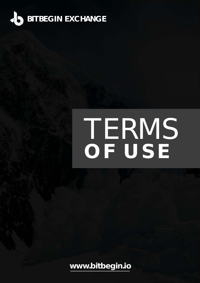

# TERMS **OF USE**

**[www.bitbegin.io](http://www.bitbegin.io)**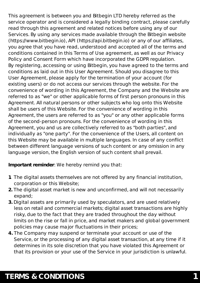This agreement is between you and Bitbegin LTD hereby referred as the service operator and is considered a legally binding contract, please carefully read through this agreement and related notices before using any of our Services. By using any services made available through the Bitbegin website (https://www.bitbegin.io), API (https://api.bitbegin.io) or any of our affiliates, you agree that you have read, understood and accepted all of the terms and conditions contained in this Terms of Use agreement, as well as our Privacy Policy and Consent Form which have incorporated the GDPR regulation. By registering, accessing or using Bitbegin, you have agreed to the terms and conditions as laid out in this User Agreement. Should you disagree to this User Agreement, please apply for the termination of your account (for existing users) or do not access our services through the website. For the convenience of wording in this Agreement, the Company and the Website are referred to as "we" or other applicable forms of first person pronouns in this Agreement. All natural persons or other subjects who log onto this Website shall be users of this Website. For the convenience of wording in this Agreement, the users are referred to as "you" or any other applicable forms of the second-person pronouns. For the convenience of wording in this Agreement, you and us are collectively referred to as "both parties", and individually as "one party". For the convenience of the Users, all content on this Website may be available in multiple languages. In case of any conflict between different language versions of such content or any omission in any language version, the English version of such content shall prevail.

**Important reminder**: We hereby remind you that:

- **1.** The digital assets themselves are not offered by any financial institution, corporation or this Website;
- **2.** The digital asset market is new and unconfirmed, and will not necessarily expand;
- **3.** Digital assets are primarily used by speculators, and are used relatively less on retail and commercial markets; digital asset transactions are highly risky, due to the fact that they are traded throughout the day without limits on the rise or fall in price, and market makers and global government policies may cause major fluctuations in their prices;
- **4.** The Company may suspend or terminate your account or use of the Service, or the processing of any digital asset transaction, at any time if it determines in its sole discretion that you have violated this Agreement or that its provision or your use of the Service in your jurisdiction is unlawful.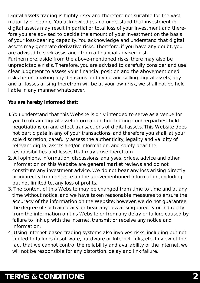Digital assets trading is highly risky and therefore not suitable for the vast majority of people. You acknowledge and understand that investment in digital assets may result in partial or total loss of your investment and therefore you are advised to decide the amount of your investment on the basis of your loss-bearing capacity. You acknowledge and understand that digital assets may generate derivative risks. Therefore, if you have any doubt, you are advised to seek assistance from a financial adviser first.

Furthermore, aside from the above-mentioned risks, there may also be unpredictable risks. Therefore, you are advised to carefully consider and use clear judgment to assess your financial position and the abovementioned risks before making any decisions on buying and selling digital assets; any and all losses arising therefrom will be at your own risk, we shall not be held liable in any manner whatsoever.

**You are hereby informed that:**

- 1. You understand that this Website is only intended to serve as a venue for you to obtain digital asset information, find trading counterparties, hold negotiations on and effect transactions of digital assets. This Website does not participate in any of your transactions, and therefore you shall, at your sole discretion, carefully assess the authenticity, legality and validity of relevant digital assets and/or information, and solely bear the responsibilities and losses that may arise therefrom.
- 2. All opinions, information, discussions, analyses, prices, advice and other information on this Website are general market reviews and do not constitute any investment advice. We do not bear any loss arising directly or indirectly from reliance on the abovementioned information, including but not limited to, any loss of profits.
- 3. The content of this Website may be changed from time to time and at any time without notice, and we have taken reasonable measures to ensure the accuracy of the information on the Website; however, we do not guarantee the degree of such accuracy, or bear any loss arising directly or indirectly from the information on this Website or from any delay or failure caused by failure to link up with the internet, transmit or receive any notice and information.
- 4. Using internet-based trading systems also involves risks, including but not limited to failures in software, hardware or Internet links, etc. In view of the fact that we cannot control the reliability and availability of the Internet, we will not be responsible for any distortion, delay and link failure.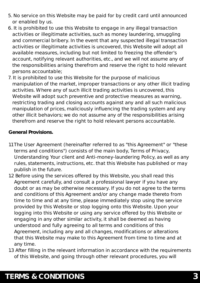- 5. No service on this Website may be paid for by credit card until announced or enabled by us.
- 6. It is prohibited to use this Website to engage in any illegal transaction activities or illegitimate activities, such as money laundering, smuggling and commercial bribery. In the event that any suspected illegal transaction activities or illegitimate activities is uncovered, this Website will adopt all available measures, including but not limited to freezing the offender's account, notifying relevant authorities, etc., and we will not assume any of the responsibilities arising therefrom and reserve the right to hold relevant persons accountable;
- 7. It is prohibited to use this Website for the purpose of malicious manipulation of the market, improper transactions or any other illicit trading activities. Where any of such illicit trading activities is uncovered, this Website will adopt such preventive and protective measures as warning, restricting trading and closing accounts against any and all such malicious manipulation of prices, maliciously influencing the trading system and any other illicit behaviors; we do not assume any of the responsibilities arising therefrom and reserve the right to hold relevant persons accountable.

**General Provisions.**

- 1.1 The User Agreement (hereinafter referred to as "this Agreement" or "these terms and conditions") consists of the main body, Terms of Privacy, Understanding Your client and Anti-money-laundering Policy, as well as any rules, statements, instructions, etc. that this Website has published or may publish in the future.
- 1.2 Before using the services offered by this Website, you shall read this Agreement carefully, and consult a professional lawyer if you have any doubt or as may be otherwise necessary. If you do not agree to the terms and conditions of this Agreement and/or any change made thereto from time to time and at any time, please immediately stop using the service provided by this Website or stop logging onto this Website. Upon your logging into this Website or using any service offered by this Website or engaging in any other similar activity, it shall be deemed as having understood and fully agreeing to all terms and conditions of this Agreement, including any and all changes, modifications or alterations that this Website may make to this Agreement from time to time and at any time.
- 1.3 After filling in the relevant information in accordance with the requirements of this Website, and going through other relevant procedures, you will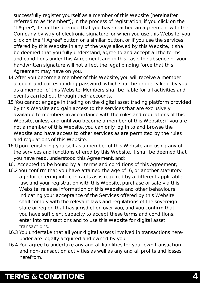successfully register yourself as a member of this Website (hereinafter referred to as "Member"); in the process of registration, if you click on the "I Agree", it shall be deemed that you have reached an agreement with the Company by way of electronic signature; or when you use this Website, you click on the "I Agree" button or a similar button, or if you use the services offered by this Website in any of the ways allowed by this Website, it shall be deemed that you fully understand, agree to and accept all the terms and conditions under this Agreement, and in this case, the absence of your handwritten signature will not affect the legal binding force that this Agreement may have on you.

- 1.4 After you become a member of this Website, you will receive a member account and corresponding password, which shall be properly kept by you as a member of this Website; Members shall be liable for all activities and events carried out through their accounts.
- 1.5 You cannot engage in trading on the digital asset trading platform provided by this Website and gain access to the services that are exclusively available to members in accordance with the rules and regulations of this Website, unless and until you become a member of this Website; if you are not a member of this Website, you can only log in to and browse the Website and have access to other services as are permitted by the rules and regulations of this Website.
- 1.6 Upon registering yourself as a member of this Website and using any of the services and functions offered by this Website, it shall be deemed that you have read, understood this Agreement, and:
- 1.6.1 Accepted to be bound by all terms and conditions of this Agreement;
- 1.6.2 You confirm that you have attained the age of 16, or another statutory age for entering into contracts as is required by a different applicable law, and your registration with this Website, purchase or sale via this Website, release information on this Website and other behaviours indicating your acceptance of the Services offered by this Website shall comply with the relevant laws and regulations of the sovereign state or region that has jurisdiction over you, and you confirm that you have sufficient capacity to accept these terms and conditions, enter into transactions and to use this Website for digital asset transactions.
- 1.6.3 You undertake that all your digital assets involved in transactions here under are legally acquired and owned by you.
- 1.6.4 You agree to undertake any and all liabilities for your own transaction and non-transaction activities as well as any and all profits and losses herefrom.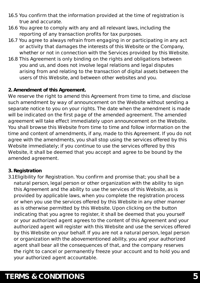- 1.6.5 You confirm that the information provided at the time of registration is true and accurate.
- 1.6.6 You agree to comply with any and all relevant laws, including the reporting of any transaction profits for tax purposes.
- 1.6.7 You agree to always refrain from engaging in or participating in any act or activity that damages the interests of this Website or the Company, whether or not in connection with the Services provided by this Website.
- 1.6.8 This Agreement is only binding on the rights and obligations between you and us, and does not involve legal relations and legal disputes arising from and relating to the transaction of digital assets between the users of this Website, and between other websites and you.

**2. Amendment of this Agreement.** 

We reserve the right to amend this Agreement from time to time, and disclose such amendment by way of announcement on the Website without sending a separate notice to you on your rights. The date when the amendment is made will be indicated on the first page of the amended agreement. The amended agreement will take effect immediately upon announcement on the Website. You shall browse this Website from time to time and follow information on the time and content of amendments, if any, made to this Agreement. If you do not agree with the amendments, you shall stop using the services offered by this Website immediately; if you continue to use the services offered by this Website, it shall be deemed that you accept and agree to be bound by the amended agreement.

#### **3. Registration**

3.1 Eligibility for Registration. You confirm and promise that; you shall be a natural person, legal person or other organization with the ability to sign this Agreement and the ability to use the services of this Website, as is provided by applicable laws, when you complete the registration process or when you use the services offered by this Website in any other manner as is otherwise permitted by this Website. Upon clicking on the button indicating that you agree to register, it shall be deemed that you yourself or your authorized agent agrees to the content of this Agreement and your authorized agent will register with this Website and use the services offered by this Website on your behalf. If you are not a natural person, legal person or organization with the abovementioned ability, you and your authorized agent shall bear all the consequences of that, and the company reserves the right to cancel or permanently freeze your account and to hold you and your authorized agent accountable.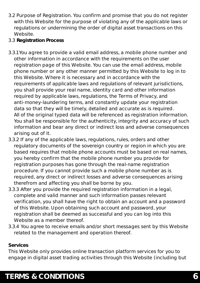- 3.2 Purpose of Registration. You confirm and promise that you do not register with this Website for the purpose of violating any of the applicable laws or regulations or undermining the order of digital asset transactions on this Website.
- 3.3 **Registration Process**
- 3.3.1 You agree to provide a valid email address, a mobile phone number and other information in accordance with the requirements on the user registration page of this Website. You can use the email address, mobile phone number or any other manner permitted by this Website to log in to this Website. Where it is necessary and in accordance with the requirements of applicable laws and regulations of relevant jurisdictions, you shall provide your real name, identity card and other information required by applicable laws, regulations, the Terms of Privacy, and anti-money-laundering terms, and constantly update your registration data so that they will be timely, detailed and accurate as is required. All of the original typed data will be referenced as registration information. You shall be responsible for the authenticity, integrity and accuracy of such information and bear any direct or indirect loss and adverse consequences arising out of it.
- 3.3.2 If any of the applicable laws, regulations, rules, orders and other regulatory documents of the sovereign country or region in which you are based requires that mobile phone accounts must be based on real names, you hereby confirm that the mobile phone number you provide for registration purposes has gone through the real-name registration procedure. If you cannot provide such a mobile phone number as is required, any direct or indirect losses and adverse consequences arising therefrom and affecting you shall be borne by you.
- 3.3.3 After you provide the required registration information in a legal, complete and valid manner and such information passes relevant verification, you shall have the right to obtain an account and a password of this Website. Upon obtaining such account and password, your registration shall be deemed as successful and you can log into this Website as a member thereof.
- 3.3.4 You agree to receive emails and/or short messages sent by this Website related to the management and operation thereof.

#### **Services**

This Website only provides online transaction platform services for you to engage in digital asset trading activities through this Website (including but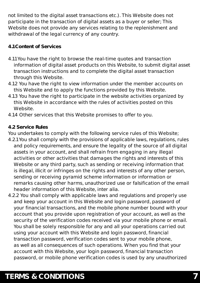not limited to the digital asset transactions etc.). This Website does not participate in the transaction of digital assets as a buyer or seller; This Website does not provide any services relating to the replenishment and withdrawal of the legal currency of any country.

#### **4.1 Content of Services**

- 4.1.1 You have the right to browse the real-time quotes and transaction information of digital asset products on this Website, to submit digital asset transaction instructions and to complete the digital asset transaction through this Website.
- 4.1.2 You have the right to view information under the member accounts on this Website and to apply the functions provided by this Website.
- 4.1.3 You have the right to participate in the website activities organized by this Website in accordance with the rules of activities posted on this Website.
- 4.1.4 Other services that this Website promises to offer to you.

#### **4.2 Service Rules**

You undertakes to comply with the following service rules of this Website;

- 4.2.1 You shall comply with the provisions of applicable laws, regulations, rules and policy requirements, and ensure the legality of the source of all digital assets in your account, and shall refrain from engaging in any illegal activities or other activities that damages the rights and interests of this Website or any third party, such as sending or receiving information that is illegal, illicit or infringes on the rights and interests of any other person, sending or receiving pyramid scheme information or information or remarks causing other harms, unauthorized use or falsification of the email header information of this Website, inter alia.
- 4.2.2 You shall comply with applicable laws and regulations and properly use and keep your account in this Website and login password, password of your financial transactions, and the mobile phone number bound with your account that you provide upon registration of your account, as well as the security of the verification codes received via your mobile phone or email. You shall be solely responsible for any and all your operations carried out using your account with this Website and login password, financial transaction password, verification codes sent to your mobile phone, as well as all consequences of such operations. When you find that your account with this Website, your login password, financial transaction password, or mobile phone verification codes is used by any unauthorized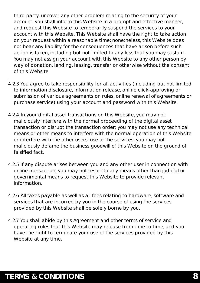third party, uncover any other problem relating to the security of your account, you shall inform this Website in a prompt and effective manner, and request this Website to temporarily suspend the services to your account with this Website. This Website shall have the right to take action on your request within a reasonable time; nonetheless, this Website does not bear any liability for the consequences that have arisen before such action is taken, including but not limited to any loss that you may sustain. You may not assign your account with this Website to any other person by way of donation, lending, leasing, transfer or otherwise without the consent of this Website

- 4.2.3 You agree to take responsibility for all activities (including but not limited to information disclosure, information release, online click-approving or submission of various agreements on rules, online renewal of agreements or purchase service) using your account and password with this Website.
- 4.2.4 In your digital asset transactions on this Website, you may not maliciously interfere with the normal proceeding of the digital asset transaction or disrupt the transaction order; you may not use any technical means or other means to interfere with the normal operation of this Website or interfere with the other users' use of the services; you may not maliciously defame the business goodwill of this Website on the ground of falsified fact.
- 4.2.5 If any dispute arises between you and any other user in connection with online transaction, you may not resort to any means other than judicial or governmental means to request this Website to provide relevant information.
- 4.2.6 All taxes payable as well as all fees relating to hardware, software and services that are incurred by you in the course of using the services provided by this Website shall be solely borne by you.
- 4.2.7 You shall abide by this Agreement and other terms of service and operating rules that this Website may release from time to time, and you have the right to terminate your use of the services provided by this Website at any time.

.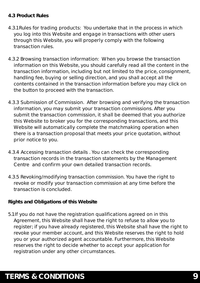#### **4.3 Product Rules**

- 4.3.1 Rules for trading products: You undertake that in the process in which you log into this Website and engage in transactions with other users through this Website, you will properly comply with the following transaction rules.
- 4.3.2 Browsing transaction information: When you browse the transaction information on this Website, you should carefully read all the content in the transaction information, including but not limited to the price, consignment, handling fee, buying or selling direction, and you shall accept all the contents contained in the transaction information before you may click on the button to proceed with the transaction.
- 4.3.3 Submission of Commission. After browsing and verifying the transaction information, you may submit your transaction commissions. After you submit the transaction commission, it shall be deemed that you authorize this Website to broker you for the corresponding transactions, and this Website will automatically complete the matchmaking operation when there is a transaction proposal that meets your price quotation, without prior notice to you.
- 4.3.4 Accessing transaction details . You can check the corresponding transaction records in the transaction statements by the Management Centre and confirm your own detailed transaction records.
- 4.3.5 Revoking/modifying transaction commission. You have the right to revoke or modify your transaction commission at any time before the transaction is concluded.

**Rights and Obligations of this Website**

5.1 If you do not have the registration qualifications agreed on in this Agreement, this Website shall have the right to refuse to allow you to register; if you have already registered, this Website shall have the right to revoke your member account, and this Website reserves the right to hold you or your authorized agent accountable. Furthermore, this Website reserves the right to decide whether to accept your application for registration under any other circumstances.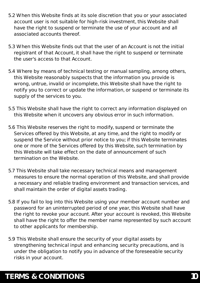- 5.2 When this Website finds at its sole discretion that you or your associated account user is not suitable for high-risk investment, this Website shall have the right to suspend or terminate the use of your account and all associated accounts thereof.
- 5.3 When this Website finds out that the user of an Account is not the initial registrant of that Account, it shall have the right to suspend or terminate the user's access to that Account.
- 5.4 Where by means of technical testing or manual sampling, among others, this Website reasonably suspects that the information you provide is wrong, untrue, invalid or incomplete, this Website shall have the right to notify you to correct or update the information, or suspend or terminate its supply of the services to you.
- 5.5 This Website shall have the right to correct any information displayed on this Website when it uncovers any obvious error in such information.
- 5.6 This Website reserves the right to modify, suspend or terminate the Services offered by this Website, at any time, and the right to modify or suspend the Service without prior notice to you; if this Website terminates one or more of the Services offered by this Website, such termination by this Website will take effect on the date of announcement of such termination on the Website.
- 5.7 This Website shall take necessary technical means and management measures to ensure the normal operation of this Website, and shall provide a necessary and reliable trading environment and transaction services, and shall maintain the order of digital assets trading.
- 5.8 If you fail to log into this Website using your member account number and password for an uninterrupted period of one year, this Website shall have the right to revoke your account. After your account is revoked, this Website shall have the right to offer the member name represented by such account to other applicants for membership.
- 5.9 This Website shall ensure the security of your digital assets by strengthening technical input and enhancing security precautions, and is under the obligation to notify you in advance of the foreseeable security risks in your account.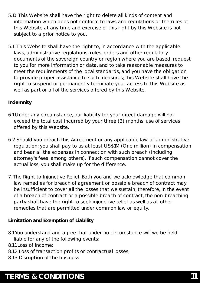- 5.10 This Website shall have the right to delete all kinds of content and information which does not conform to laws and regulations or the rules of this Website at any time and exercise of this right by this Website is not subject to a prior notice to you.
- 5.11 This Website shall have the right to, in accordance with the applicable laws, administrative regulations, rules, orders and other regulatory documents of the sovereign country or region where you are based, request to you for more information or data, and to take reasonable measures to meet the requirements of the local standards, and you have the obligation to provide proper assistance to such measures; this Website shall have the right to suspend or permanently terminate your access to this Website as well as part or all of the services offered by this Website.

#### **Indemnity**

- 6.1 Under any circumstance, our liability for your direct damage will not exceed the total cost incurred by your three (3) months' use of services offered by this Website.
- 6.2 Should you breach this Agreement or any applicable law or administrative regulation; you shall pay to us at least US\$1M (One million) in compensation and bear all the expenses in connection with such breach (including attorney's fees, among others). If such compensation cannot cover the actual loss, you shall make up for the difference.
- 7. The Right to Injunctive Relief. Both you and we acknowledge that common law remedies for breach of agreement or possible breach of contract may be insufficient to cover all the losses that we sustain; therefore, in the event of a breach of contract or a possible breach of contract, the non-breaching party shall have the right to seek injunctive relief as well as all other remedies that are permitted under common law or equity.

**Limitation and Exemption of Liability**

8.1 You understand and agree that under no circumstance will we be held liable for any of the following events:

8.1.1 Loss of income;

- 8.1.2 Loss of transaction profits or contractual losses;
- 8.1.3 Disruption of the business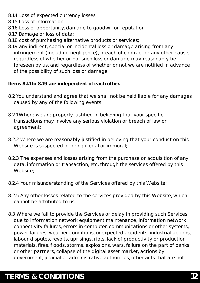- 8.1.4 Loss of expected currency losses
- 8.1.5 Loss of information
- 8.1.6 Loss of opportunity, damage to goodwill or reputation
- 8.1.7 Damage or loss of data;
- 8.1.8 cost of purchasing alternative products or services;
- 8.1.9 any indirect, special or incidental loss or damage arising from any infringement (including negligence), breach of contract or any other cause, regardless of whether or not such loss or damage may reasonably be foreseen by us, and regardless of whether or not we are notified in advance of the possibility of such loss or damage.

**Items 8.1.1 to 8.1.9 are independent of each other.**

- 8.2 You understand and agree that we shall not be held liable for any damages caused by any of the following events:
- 8.2.1 Where we are properly justified in believing that your specific transactions may involve any serious violation or breach of law or agreement;
- 8.2.2 Where we are reasonably justified in believing that your conduct on this Website is suspected of being illegal or immoral;
- 8.2.3 The expenses and losses arising from the purchase or acquisition of any data, information or transaction, etc. through the services offered by this Website;
- 8.2.4 Your misunderstanding of the Services offered by this Website;
- 8.2.5 Any other losses related to the services provided by this Website, which cannot be attributed to us.
- 8.3 Where we fail to provide the Services or delay in providing such Services due to information network equipment maintenance, information network connectivity failures, errors in computer, communications or other systems, power failures, weather conditions, unexpected accidents, industrial actions, labour disputes, revolts, uprisings, riots, lack of productivity or production materials, fires, floods, storms, explosions, wars, failure on the part of banks or other partners, collapse of the digital asset market, actions by government, judicial or administrative authorities, other acts that are not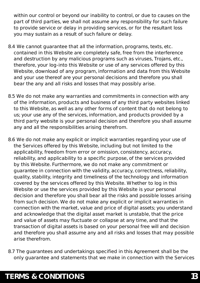within our control or beyond our inability to control, or due to causes on the part of third parties, we shall not assume any responsibility for such failure to provide service or delay in providing services, or for the resultant loss you may sustain as a result of such failure or delay.

- 8.4 We cannot guarantee that all the information, programs, texts, etc. contained in this Website are completely safe, free from the interference and destruction by any malicious programs such as viruses, Trojans, etc., therefore, your log-into this Website or use of any services offered by this Website, download of any program, information and data from this Website and your use thereof are your personal decisions and therefore you shall bear the any and all risks and losses that may possibly arise.
- 8.5 We do not make any warranties and commitments in connection with any of the information, products and business of any third party websites linked to this Website, as well as any other forms of content that do not belong to us; your use any of the services, information, and products provided by a third party website is your personal decision and therefore you shall assume any and all the responsibilities arising therefrom.
- 8.6 We do not make any explicit or implicit warranties regarding your use of the Services offered by this Website, including but not limited to the applicability, freedom from error or omission, consistency, accuracy, reliability, and applicability to a specific purpose, of the services provided by this Website. Furthermore, we do not make any commitment or guarantee in connection with the validity, accuracy, correctness, reliability, quality, stability, integrity and timeliness of the technology and information covered by the services offered by this Website. Whether to log in this Website or use the services provided by this Website is your personal decision and therefore you shall bear all the risks and possible losses arising from such decision. We do not make any explicit or implicit warranties in connection with the market, value and price of digital assets; you understand and acknowledge that the digital asset market is unstable, that the price and value of assets may fluctuate or collapse at any time, and that the transaction of digital assets is based on your personal free will and decision and therefore you shall assume any and all risks and losses that may possible arise therefrom.
- 8.7 The guarantees and undertakings specified in this Agreement shall be the only guarantee and statements that we make in connection with the Services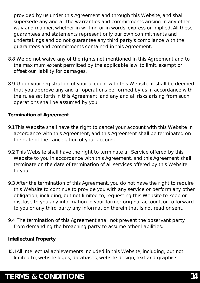provided by us under this Agreement and through this Website, and shall supersede any and all the warranties and commitments arising in any other way and manner, whether in writing or in words, express or implied. All these guarantees and statements represent only our own commitments and undertakings and do not guarantee any third party's compliance with the guarantees and commitments contained in this Agreement.

- 8.8 We do not waive any of the rights not mentioned in this Agreement and to the maximum extent permitted by the applicable law, to limit, exempt or offset our liability for damages.
- 8.9 Upon your registration of your account with this Website, it shall be deemed that you approve any and all operations performed by us in accordance with the rules set forth in this Agreement, and any and all risks arising from such operations shall be assumed by you.

**Termination of Agreement**

- 9.1 This Website shall have the right to cancel your account with this Website in accordance with this Agreement, and this Agreement shall be terminated on the date of the cancellation of your account.
- 9.2 This Website shall have the right to terminate all Service offered by this Website to you in accordance with this Agreement, and this Agreement shall terminate on the date of termination of all services offered by this Website to you.
- 9.3 After the termination of this Agreement, you do not have the right to require this Website to continue to provide you with any service or perform any other obligation, including, but not limited to, requesting this Website to keep or disclose to you any information in your former original account, or to forward to you or any third party any information therein that is not read or sent.
- 9.4 The termination of this Agreement shall not prevent the observant party from demanding the breaching party to assume other liabilities.

**Intellectual Property**

10.1 All intellectual achievements included in this Website, including, but not limited to, website logos, databases, website design, text and graphics,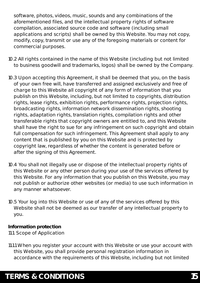software, photos, videos, music, sounds and any combinations of the aforementioned files, and the intellectual property rights of software compilation, associated source code and software (including small applications and scripts) shall be owned by this Website. You may not copy, modify, copy, transmit or use any of the foregoing materials or content for commercial purposes.

- 10.2 All rights contained in the name of this Website (including but not limited to business goodwill and trademarks, logos) shall be owned by the Company.
- 10.3 Upon accepting this Agreement, it shall be deemed that you, on the basis of your own free will, have transferred and assigned exclusively and free of charge to this Website all copyright of any form of information that you publish on this Website, including, but not limited to copyrights, distribution rights, lease rights, exhibition rights, performance rights, projection rights, broadcasting rights, information network dissemination rights, shooting rights, adaptation rights, translation rights, compilation rights and other transferable rights that copyright owners are entitled to, and this Website shall have the right to sue for any infringement on such copyright and obtain full compensation for such infringement. This Agreement shall apply to any content that is published by you on this Website and is protected by copyright law, regardless of whether the content is generated before or after the signing of this Agreement.
- 10.4 You shall not illegally use or dispose of the intellectual property rights of this Website or any other person during your use of the services offered by this Website. For any information that you publish on this Website, you may not publish or authorize other websites (or media) to use such information in any manner whatsoever.
- 10.5 Your log into this Website or use of any of the services offered by this Website shall not be deemed as our transfer of any intellectual property to you.

**Information protection** 11.1. Scope of Application

11.1.1 When you register your account with this Website or use your account with this Website, you shall provide personal registration information in accordance with the requirements of this Website, including but not limited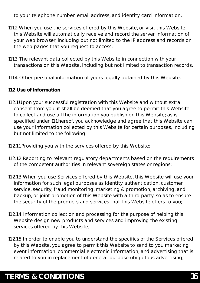to your telephone number, email address, and identity card information.

- 11.1.2 When you use the services offered by this Website, or visit this Website, this Website will automatically receive and record the server information of your web browser, including but not limited to the IP address and records on the web pages that you request to access.
- 11.1.3 The relevant data collected by this Website in connection with your transactions on this Website, including but not limited to transaction records.
- 11.1.4 Other personal information of yours legally obtained by this Website.
- **11.2 Use of Information**
- 11.2.1 Upon your successful registration with this Website and without extra consent from you, it shall be deemed that you agree to permit this Website to collect and use all the information you publish on this Website; as is specified under 11.1 hereof, you acknowledge and agree that this Website can use your information collected by this Website for certain purposes, including but not limited to the following:
- 11.2.1.1 Providing you with the services offered by this Website;
- 11.2.1.2 Reporting to relevant regulatory departments based on the requirements of the competent authorities in relevant sovereign states or regions;
- 11.2.1.3 When you use Services offered by this Website, this Website will use your information for such legal purposes as identity authentication, customer service, security, fraud monitoring, marketing & promotion, archiving, and backup, or joint promotion of this Website with a third party, so as to ensure the security of the products and services that this Website offers to you;
- 11.2.1.4 Information collection and processing for the purpose of helping this Website design new products and services and improving the existing services offered by this Website;
- 11.2.1.5 In order to enable you to understand the specifics of the Services offered by this Website, you agree to permit this Website to send to you marketing event information, commercial electronic information, and advertising that is related to you in replacement of general-purpose ubiquitous advertising;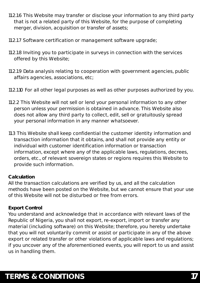- 11.2.1.6 This Website may transfer or disclose your information to any third party that is not a related party of this Website, for the purpose of completing merger, division, acquisition or transfer of assets;
- 11.2.1.7 Software certification or management software upgrade;
- 11.2.1.8 Inviting you to participate in surveys in connection with the services offered by this Website;
- 11.2.1.9 Data analysis relating to cooperation with government agencies, public affairs agencies, associations, etc;
- 11.2.1.10 For all other legal purposes as well as other purposes authorized by you.
- 11.2.2 This Website will not sell or lend your personal information to any other person unless your permission is obtained in advance. This Website also does not allow any third party to collect, edit, sell or gratuitously spread your personal information in any manner whatsoever.
- 11.3 This Website shall keep confidential the customer identity information and transaction information that it obtains, and shall not provide any entity or individual with customer identification information or transaction information, except where any of the applicable laws, regulations, decrees, orders, etc., of relevant sovereign states or regions requires this Website to provide such information.

#### **Calculation**

All the transaction calculations are verified by us, and all the calculation methods have been posted on the Website, but we cannot ensure that your use of this Website will not be disturbed or free from errors.

#### **Export Control**

You understand and acknowledge that in accordance with relevant laws of the Republic of Nigeria, you shall not export, re-export, import or transfer any material (including software) on this Website; therefore, you hereby undertake that you will not voluntarily commit or assist or participate in any of the above export or related transfer or other violations of applicable laws and regulations; if you uncover any of the aforementioned events, you will report to us and assist us in handling them.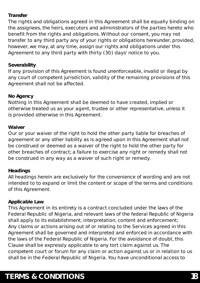#### **Transfer**

The rights and obligations agreed in this Agreement shall be equally binding on the assignees, the heirs, executors and administrators of the parties hereto who benefit from the rights and obligations. Without our consent, you may not transfer to any third party any of your rights or obligations hereunder, provided, however, we may, at any time, assign our rights and obligations under this Agreement to any third party with thirty (30) days' notice to you.

#### **Severability**

If any provision of this Agreement is found unenforceable, invalid or illegal by any court of competent jurisdiction, validity of the remaining provisions of this Agreement shall not be affected.

#### **No Agency**

Nothing in this Agreement shall be deemed to have created, implied or otherwise treated us as your agent, trustee or other representative, unless it is provided otherwise in this Agreement.

#### **Waiver**

Our or your waiver of the right to hold the other party liable for breaches of agreement or any other liability as is agreed upon in this Agreement shall not be construed or deemed as a waiver of the right to hold the other party for other breaches of contract; a failure to exercise any right or remedy shall not be construed in any way as a waiver of such right or remedy.

#### **Headings**

All headings herein are exclusively for the convenience of wording and are not intended to to expand or limit the content or scope of the terms and conditions of this Agreement.

#### **Applicable Law**

This Agreement in its entirety is a contract concluded under the laws of the Federal Republic of Nigeria, and relevant laws of the federal Republic of Nigeria shall apply to its establishment, interpretation, content and enforcement; Any claims or actions arising out of or relating to the Services agreed in this Agreement shall be governed and interpreted and enforced in accordance with the laws of the Federal Republic of Nigeria. For the avoidance of doubt, this Clause shall be expressly applicable to any tort claim against us. The competent court or forum for any claim or action against us or in relation to us shall be in the Federal Republic of Nigeria. You have unconditional access to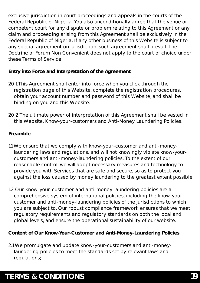exclusive jurisdiction in court proceedings and appeals in the courts of the Federal Republic of Nigeria. You also unconditionally agree that the venue or competent court for any dispute or problem relating to this Agreement or any claim and proceeding arising from this Agreement shall be exclusively in the Federal Republic of Nigeria. If any other business of this Website is subject to any special agreement on jurisdiction, such agreement shall prevail. The Doctrine of Forum Non Convenient does not apply to the court of choice under these Terms of Service.

**Entry into Force and Interpretation of the Agreement**

- 20.1 This Agreement shall enter into force when you click through the registration page of this Website, complete the registration procedures, obtain your account number and password of this Website, and shall be binding on you and this Website.
- 20.2 The ultimate power of interpretation of this Agreement shall be vested in this Website. Know-your-customers and Anti-Money Laundering Policies.

#### **Preamble**

- 1.1 We ensure that we comply with know-your-customer and anti-money laundering laws and regulations, and will not knowingly violate know-your customers and anti-money-laundering policies. To the extent of our reasonable control, we will adopt necessary measures and technology to provide you with Services that are safe and secure, so as to protect you against the loss caused by money laundering to the greatest extent possible.
- 1.2 Our know-your-customer and anti-money-laundering policies are a comprehensive system of international policies, including the know-your customer and anti-money-laundering policies of the jurisdictions to which you are subject to. Our robust compliance framework ensures that we meet regulatory requirements and regulatory standards on both the local and global levels, and ensure the operational sustainability of our website.

**Content of Our Know-Your-Customer and Anti-Money-Laundering Policies**

2.1 We promulgate and update know-your-customers and anti-money laundering policies to meet the standards set by relevant laws and regulations;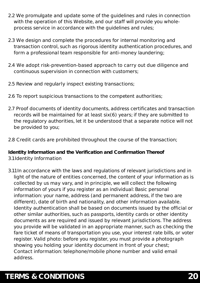- 2.2 We promulgate and update some of the guidelines and rules in connection with the operation of this Website, and our staff will provide you whole process service in accordance with the guidelines and rules;
- 2.3 We design and complete the procedures for internal monitoring and transaction control, such as rigorous identity authentication procedures, and form a professional team responsible for anti-money laundering;
- 2.4 We adopt risk-prevention-based approach to carry out due diligence and continuous supervision in connection with customers;
- 2.5 Review and regularly inspect existing transactions;
- 2.6 To report suspicious transactions to the competent authorities;
- 2.7 Proof documents of identity documents, address certificates and transaction records will be maintained for at least six(6) years; if they are submitted to the regulatory authorities, let it be understood that a separate notice will not be provided to you;
- 2.8 Credit cards are prohibited throughout the course of the transaction;

**Identity Information and the Verification and Confirmation Thereof** 3.1 Identity Information

3.1.1 In accordance with the laws and regulations of relevant jurisdictions and in light of the nature of entities concerned, the content of your information as is collected by us may vary, and in principle, we will collect the following information of yours if you register as an individual: Basic personal information: your name, address (and permanent address, if the two are different), date of birth and nationality, and other information available. Identity authentication shall be based on documents issued by the official or other similar authorities, such as passports, identity cards or other identity documents as are required and issued by relevant jurisdictions. The address you provide will be validated in an appropriate manner, such as checking the fare ticket of means of transportation you use, your interest rate bills, or voter register. Valid photo: before you register, you must provide a photograph showing you holding your identity document in front of your chest; Contact information: telephone/mobile phone number and valid email address.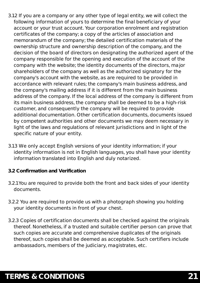- 3.1.2 If you are a company or any other type of legal entity, we will collect the following information of yours to determine the final beneficiary of your account or your trust account. Your corporation enrolment and registration certificates of the company; a copy of the articles of association and memorandum of the company; the detailed certification materials of the ownership structure and ownership description of the company, and the decision of the board of directors on designating the authorized agent of the company responsible for the opening and execution of the account of the company with the website; the identity documents of the directors, major shareholders of the company as well as the authorized signatory for the company's account with the website, as are required to be provided in accordance with relevant rules; the company's main business address, and the company's mailing address if it is different from the main business address of the company. If the local address of the company is different from its main business address, the company shall be deemed to be a high-risk customer, and consequently the company will be required to provide additional documentation. Other certification documents, documents issued by competent authorities and other documents we may deem necessary in light of the laws and regulations of relevant jurisdictions and in light of the specific nature of your entity.
- 3.1.3 We only accept English versions of your identity information; if your identity information is not in English languages, you shall have your identity information translated into English and duly notarized.
- **3.2 Confirmation and Verification**
- 3.2.1 You are required to provide both the front and back sides of your identity documents.
- 3.2.2 You are required to provide us with a photograph showing you holding your identity documents in front of your chest.
- 3.2.3 Copies of certification documents shall be checked against the originals thereof. Nonetheless, if a trusted and suitable certifier person can prove that such copies are accurate and comprehensive duplicates of the originals thereof, such copies shall be deemed as acceptable. Such certifiers include ambassadors, members of the judiciary, magistrates, etc.